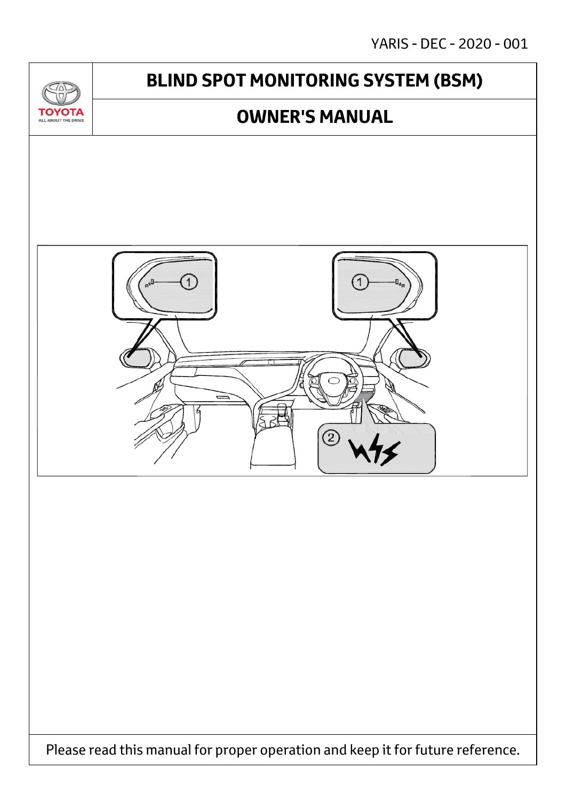YARIS - DEC - 2020 - 001

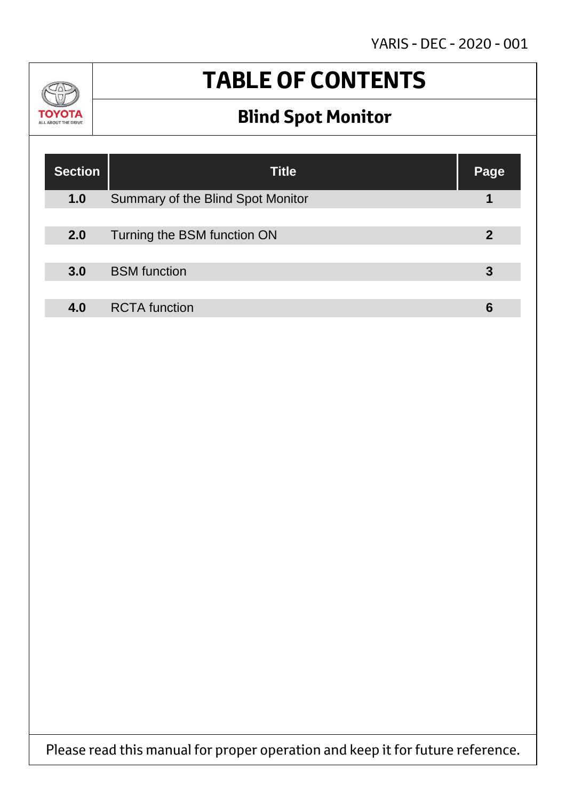YARIS - DEC - 2020 - 001



# **TABLE OF CONTENTS**

## **Blind Spot Monitor**

| <b>Section</b> | <b>Title</b>                      | Page |
|----------------|-----------------------------------|------|
| 1.0            | Summary of the Blind Spot Monitor |      |
|                |                                   |      |
| 2.0            | Turning the BSM function ON       | 2    |
|                |                                   |      |
| 3.0            | <b>BSM</b> function               |      |
|                |                                   |      |
| 4.0            | <b>RCTA</b> function              |      |

Please read this manual for proper operation and keep it for future reference.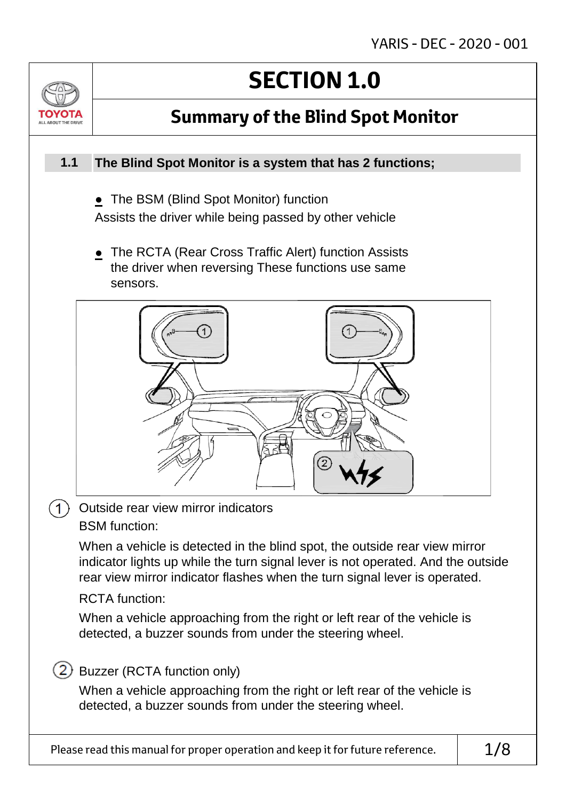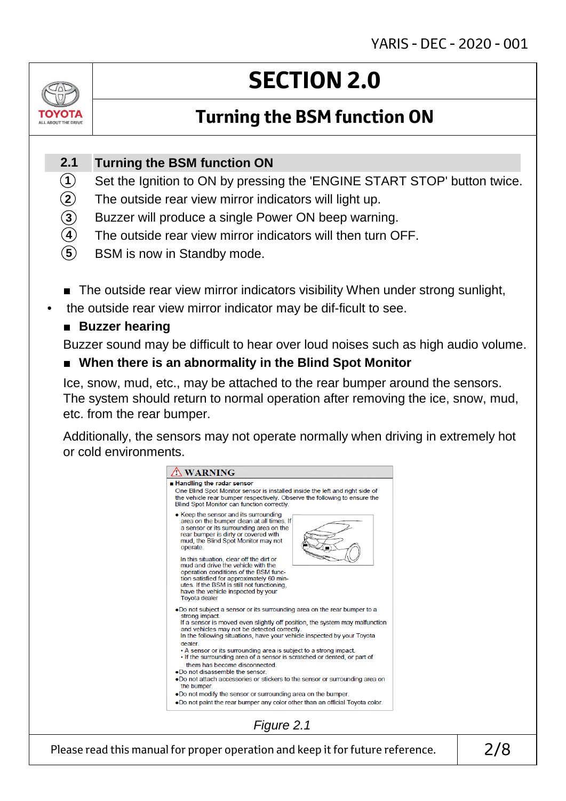

# **SECTION 2.0**

### **Turning the BSM function ON**

#### **Turning the BSM function ON 2.1**

- Set the Ignition to ON by pressing the 'ENGINE START STOP' button twice. **1**
- The outside rear view mirror indicators will light up. **2**
- Buzzer will produce a single Power ON beep warning. **3**
- The outside rear view mirror indicators will then turn OFF. **4**
- BSM is now in Standby mode. **5**
- The outside rear view mirror indicators visibility When under strong sunlight,
- the outside rear view mirror indicator may be dif-ficult to see.

### ■ **Buzzer hearing**

Buzzer sound may be difficult to hear over loud noises such as high audio volume.

### ■ When there is an abnormality in the Blind Spot Monitor

Ice, snow, mud, etc., may be attached to the rear bumper around the sensors. The system should return to normal operation after removing the ice, snow, mud, etc. from the rear bumper.

Additionally, the sensors may not operate normally when driving in extremely hot or cold environments.

| • Keep the sensor and its surrounding<br>area on the bumper clean at all times. If<br>a sensor or its surrounding area on the<br>rear bumper is dirty or covered with<br>mud, the Blind Spot Monitor may not<br>operate.<br>In this situation, clear off the dirt or<br>mud and drive the vehicle with the<br>operation conditions of the BSM func-<br>tion satisfied for approximately 60 min-<br>utes. If the BSM is still not functioning.<br>have the vehicle inspected by your<br><b>Toyota dealer</b><br>.Do not subject a sensor or its surrounding area on the rear bumper to a<br>strong impact.<br>If a sensor is moved even slightly off position, the system may malfunction<br>and vehicles may not be detected correctly.<br>In the following situations, have your vehicle inspected by your Toyota<br>dealer<br>• A sensor or its surrounding area is subject to a strong impact.<br>. If the surrounding area of a sensor is scratched or dented, or part of<br>them has become disconnected.<br>.Do not disassemble the sensor<br>.Do not attach accessories or stickers to the sensor or surrounding area on<br>the bumper. |
|------------------------------------------------------------------------------------------------------------------------------------------------------------------------------------------------------------------------------------------------------------------------------------------------------------------------------------------------------------------------------------------------------------------------------------------------------------------------------------------------------------------------------------------------------------------------------------------------------------------------------------------------------------------------------------------------------------------------------------------------------------------------------------------------------------------------------------------------------------------------------------------------------------------------------------------------------------------------------------------------------------------------------------------------------------------------------------------------------------------------------------------------|
|                                                                                                                                                                                                                                                                                                                                                                                                                                                                                                                                                                                                                                                                                                                                                                                                                                                                                                                                                                                                                                                                                                                                                |
| .Do not modify the sensor or surrounding area on the bumper.<br>.Do not paint the rear bumper any color other than an official Toyota color.                                                                                                                                                                                                                                                                                                                                                                                                                                                                                                                                                                                                                                                                                                                                                                                                                                                                                                                                                                                                   |

Please read this manual for proper operation and keep it for future reference.  $\vert$  2/8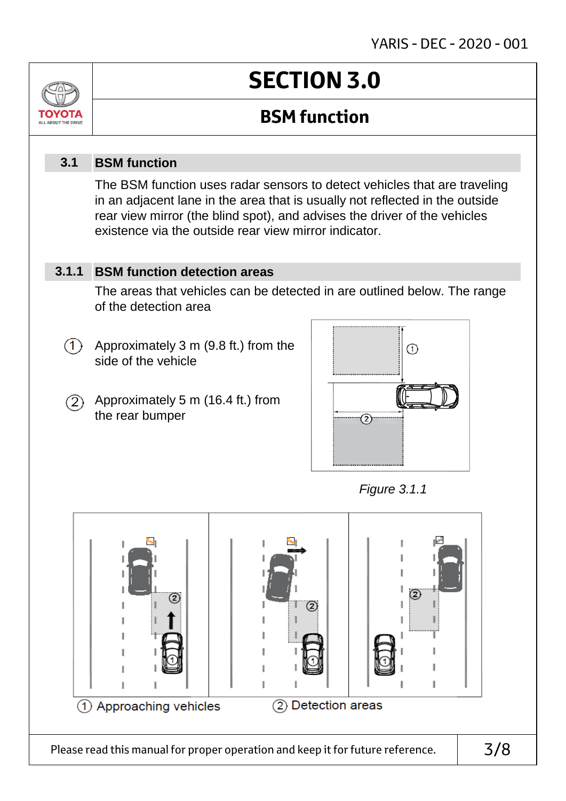

Please read this manual for proper operation and keep it for future reference.  $\vert$  3/8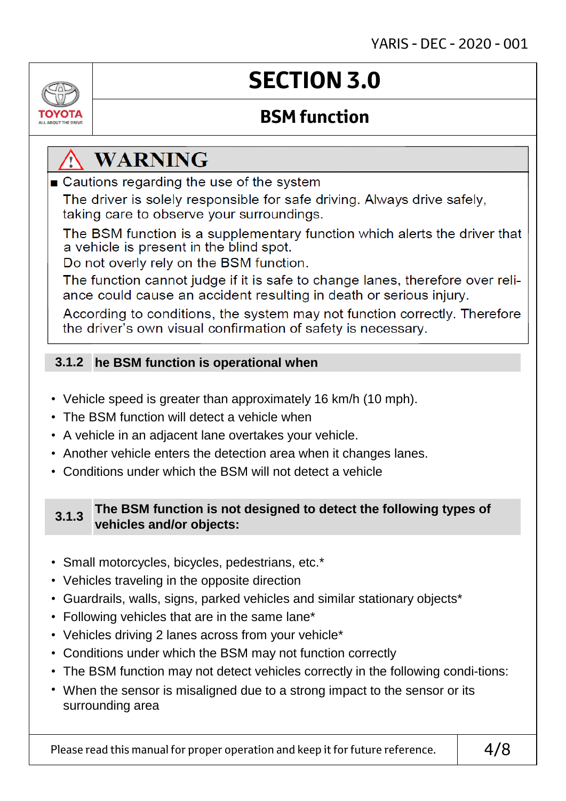

# **SECTION 3.0**

### **BSM function**

## **WARNING**

■ Cautions regarding the use of the system

The driver is solely responsible for safe driving. Always drive safely, taking care to observe your surroundings.

The BSM function is a supplementary function which alerts the driver that a vehicle is present in the blind spot.

Do not overly rely on the BSM function.

The function cannot judge if it is safe to change lanes, therefore over reliance could cause an accident resulting in death or serious injury.

According to conditions, the system may not function correctly. Therefore the driver's own visual confirmation of safety is necessary.

### **he BSM function is operational when 3.1.2**

- Vehicle speed is greater than approximately 16 km/h (10 mph).
- The BSM function will detect a vehicle when
- A vehicle in an adjacent lane overtakes your vehicle.
- Another vehicle enters the detection area when it changes lanes.
- Conditions under which the BSM will not detect a vehicle

### **3.1.3 The BSM function is not designed to detect the following types of vehicles and/or objects:**

- Small motorcycles, bicycles, pedestrians, etc.\*
- Vehicles traveling in the opposite direction
- Guardrails, walls, signs, parked vehicles and similar stationary objects\*
- Following vehicles that are in the same lane\*
- Vehicles driving 2 lanes across from your vehicle\*
- Conditions under which the BSM may not function correctly
- The BSM function may not detect vehicles correctly in the following condi-tions:
- When the sensor is misaligned due to a strong impact to the sensor or its surrounding area

Please read this manual for proper operation and keep it for future reference.  $\vert$  4/8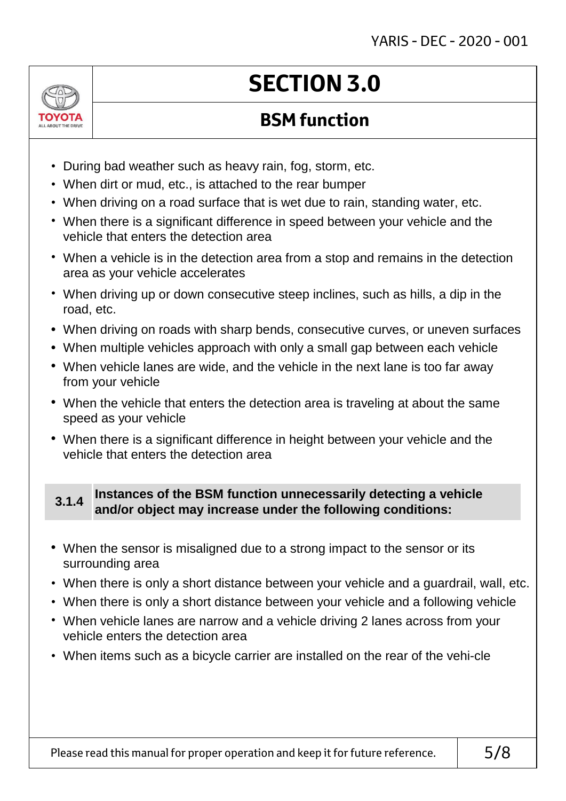

# **SECTION 3.0**

### **BSM function**

- During bad weather such as heavy rain, fog, storm, etc.
- When dirt or mud, etc., is attached to the rear bumper
- When driving on a road surface that is wet due to rain, standing water, etc.
- When there is a significant difference in speed between your vehicle and the vehicle that enters the detection area
- When a vehicle is in the detection area from a stop and remains in the detection area as your vehicle accelerates
- When driving up or down consecutive steep inclines, such as hills, a dip in the road, etc.
- **•** When driving on roads with sharp bends, consecutive curves, or uneven surfaces
- **•** When multiple vehicles approach with only a small gap between each vehicle
- **•** When vehicle lanes are wide, and the vehicle in the next lane is too far away from your vehicle
- **•** When the vehicle that enters the detection area is traveling at about the same speed as your vehicle
- **•** When there is a significant difference in height between your vehicle and the vehicle that enters the detection area

### **3.1.4 Instances of the BSM function unnecessarily detecting a vehicle and/or object may increase under the following conditions:**

- **•** When the sensor is misaligned due to a strong impact to the sensor or its surrounding area
- When there is only a short distance between your vehicle and a guardrail, wall, etc.
- When there is only a short distance between your vehicle and a following vehicle
- When vehicle lanes are narrow and a vehicle driving 2 lanes across from your vehicle enters the detection area
- When items such as a bicycle carrier are installed on the rear of the vehi-cle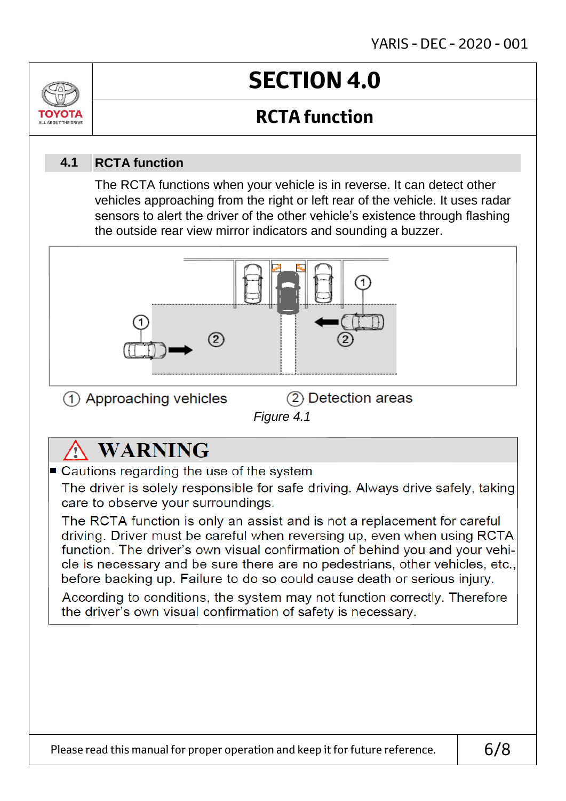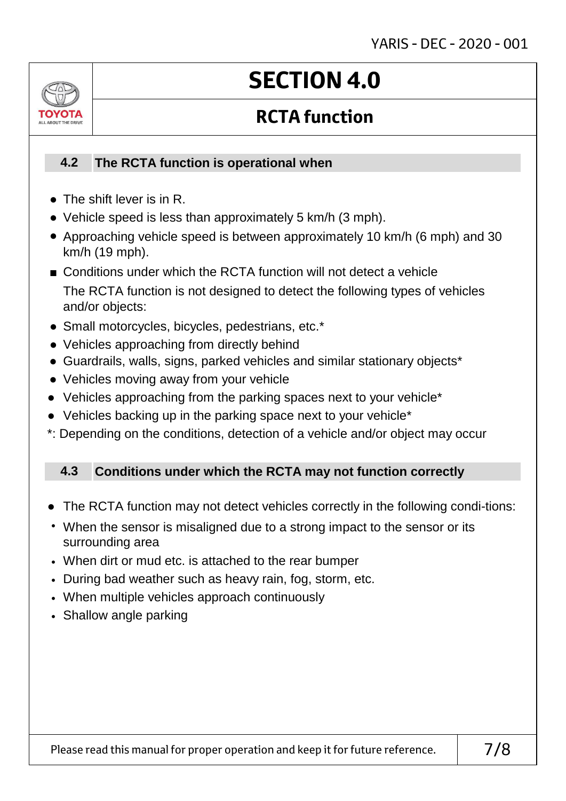

# **SECTION 4.0**

## **RCTA function**

#### **The RCTA function is operational when 4.2**

- The shift lever is in R.
- Vehicle speed is less than approximately 5 km/h (3 mph).
- Approaching vehicle speed is between approximately 10 km/h (6 mph) and 30 km/h (19 mph).
- Conditions under which the RCTA function will not detect a vehicle The RCTA function is not designed to detect the following types of vehicles and/or objects:
- Small motorcycles, bicycles, pedestrians, etc.\*
- **●** Vehicles approaching from directly behind
- Guardrails, walls, signs, parked vehicles and similar stationary objects\*
- Vehicles moving away from your vehicle
- Vehicles approaching from the parking spaces next to your vehicle<sup>\*</sup>
- Vehicles backing up in the parking space next to your vehicle<sup>\*</sup>
- \*: Depending on the conditions, detection of a vehicle and/or object may occur

#### **Conditions under which the RCTA may not function correctly 4.3**

- The RCTA function may not detect vehicles correctly in the following condi-tions:
- When the sensor is misaligned due to a strong impact to the sensor or its surrounding area
- When dirt or mud etc. is attached to the rear bumper
- During bad weather such as heavy rain, fog, storm, etc.
- When multiple vehicles approach continuously
- Shallow angle parking